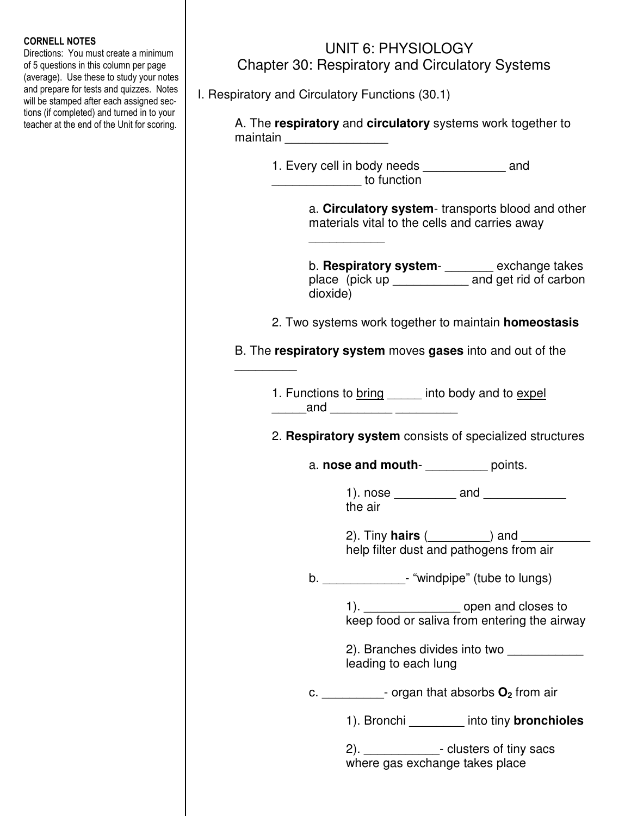## CORNELL NOTES

Directions: You must create a minimum of 5 questions in this column per page (average). Use these to study your notes and prepare for tests and quizzes. Notes will be stamped after each assigned sections (if completed) and turned in to your teacher at the end of the Unit for scoring.

## UNIT 6: PHYSIOLOGY Chapter 30: Respiratory and Circulatory Systems

I. Respiratory and Circulatory Functions (30.1)

 $\mathcal{L}_\text{max}$  and  $\mathcal{L}_\text{max}$  and  $\mathcal{L}_\text{max}$ 

 $\overline{\phantom{a}}$ 

 A. The **respiratory** and **circulatory** systems work together to maintain **with the control** 

> 1. Every cell in body needs \_\_\_\_\_\_\_\_\_\_\_\_ and  $\mathfrak{g}$  to function

> > a. **Circulatory system**- transports blood and other materials vital to the cells and carries away

 b. **Respiratory system**- \_\_\_\_\_\_\_ exchange takes place (pick up \_\_\_\_\_\_\_\_\_\_\_\_ and get rid of carbon dioxide)

2. Two systems work together to maintain **homeostasis**

B. The **respiratory system** moves **gases** into and out of the

1. Functions to bring \_\_\_\_\_\_ into body and to expel  $and$ 

2. **Respiratory system** consists of specialized structures

a. **nose and mouth**- \_\_\_\_\_\_\_\_\_ points.

 $1)$ . nose  $\qquad \qquad$  and  $\qquad \qquad$ the air

 2). Tiny **hairs** (\_\_\_\_\_\_\_\_\_) and \_\_\_\_\_\_\_\_\_\_ help filter dust and pathogens from air

b.  $\blacksquare$   $\blacksquare$  "windpipe" (tube to lungs)

1). **the open and closes to** keep food or saliva from entering the airway

2). Branches divides into two leading to each lung

c. \_\_\_\_\_\_\_\_\_- organ that absorbs **O2** from air

1). Bronchi \_\_\_\_\_\_\_\_ into tiny **bronchioles** 

2). **a** *2*  $\sim$  clusters of tiny sacs where gas exchange takes place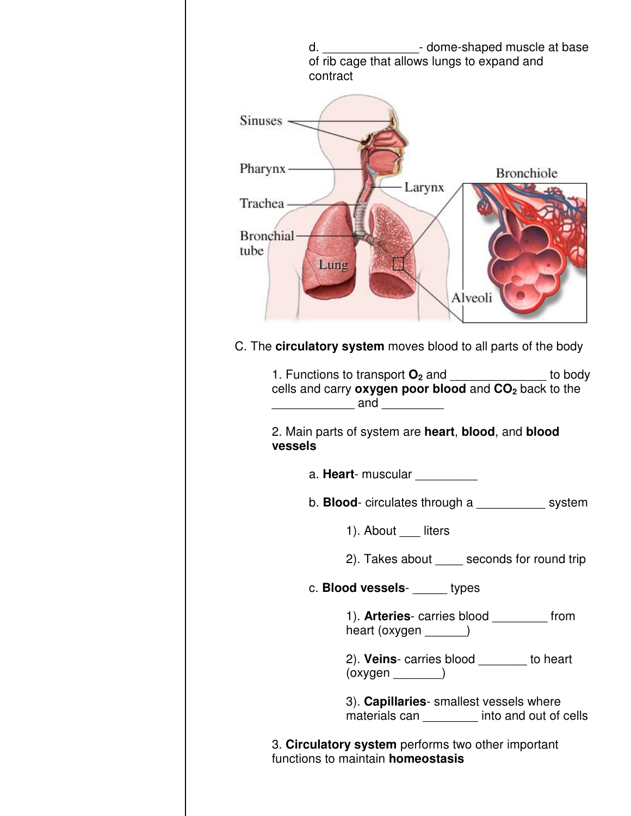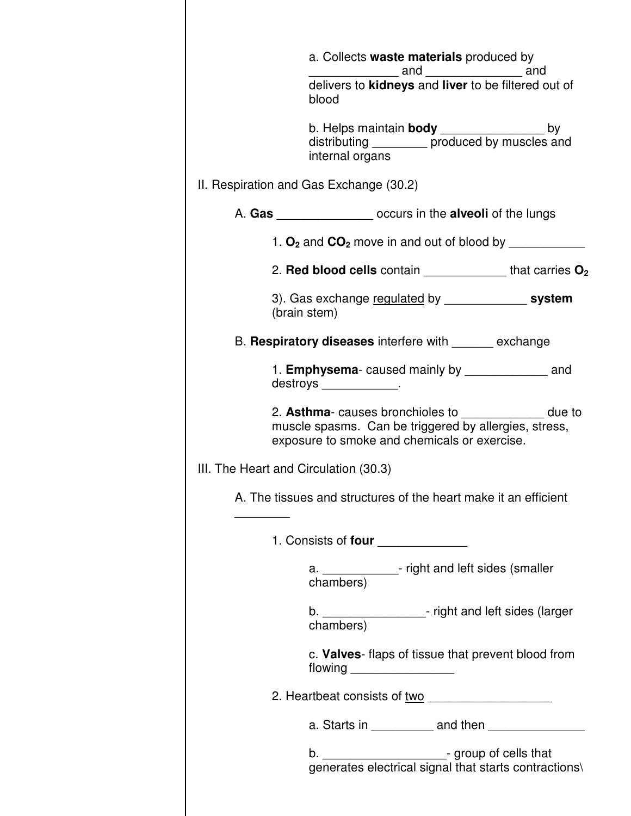|                                                                      | a. Collects waste materials produced by                                                                                                                        |  |
|----------------------------------------------------------------------|----------------------------------------------------------------------------------------------------------------------------------------------------------------|--|
|                                                                      | delivers to kidneys and liver to be filtered out of<br>blood                                                                                                   |  |
|                                                                      | b. Helps maintain body ________________<br>by<br>distributing __________ produced by muscles and<br>internal organs                                            |  |
|                                                                      | II. Respiration and Gas Exchange (30.2)                                                                                                                        |  |
|                                                                      | A. Gas ____________________ occurs in the alveoli of the lungs                                                                                                 |  |
|                                                                      | 1. $O_2$ and $CO_2$ move in and out of blood by                                                                                                                |  |
|                                                                      | 2. Red blood cells contain $\frac{1}{2}$ that carries $O_2$                                                                                                    |  |
| 3). Gas exchange regulated by _______________ system<br>(brain stem) |                                                                                                                                                                |  |
|                                                                      | B. Respiratory diseases interfere with ______ exchange                                                                                                         |  |
|                                                                      | 1. <b>Emphysema</b> -caused mainly by <b>Emphysema</b> -caused mainly by<br>destroys ____________.                                                             |  |
|                                                                      | 2. Asthma- causes bronchioles to _____________ due to<br>muscle spasms. Can be triggered by allergies, stress,<br>exposure to smoke and chemicals or exercise. |  |
|                                                                      | III. The Heart and Circulation (30.3)                                                                                                                          |  |
|                                                                      | A. The tissues and structures of the heart make it an efficient                                                                                                |  |
|                                                                      | 1. Consists of four ______________                                                                                                                             |  |
|                                                                      | a. _____________- right and left sides (smaller<br>chambers)                                                                                                   |  |
|                                                                      | b. ______________________- right and left sides (larger<br>chambers)                                                                                           |  |
|                                                                      | c. Valves- flaps of tissue that prevent blood from                                                                                                             |  |
|                                                                      |                                                                                                                                                                |  |
|                                                                      | a. Starts in ___________ and then _______________                                                                                                              |  |
|                                                                      | b. ________________________- group of cells that<br>generates electrical signal that starts contractions\                                                      |  |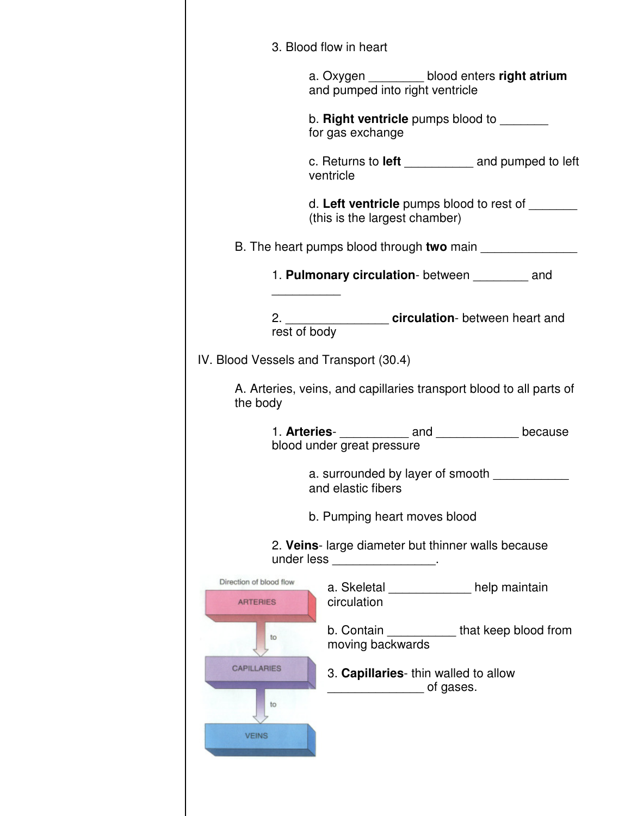|                                            | 3. Blood flow in heart                                 |                                                  |                                                                     |
|--------------------------------------------|--------------------------------------------------------|--------------------------------------------------|---------------------------------------------------------------------|
|                                            | and pumped into right ventricle                        |                                                  | a. Oxygen _________ blood enters right atrium                       |
|                                            | for gas exchange                                       |                                                  | b. Right ventricle pumps blood to _______                           |
|                                            | ventricle                                              |                                                  | c. Returns to left _____________ and pumped to left                 |
|                                            | (this is the largest chamber)                          |                                                  | d. Left ventricle pumps blood to rest of                            |
|                                            |                                                        |                                                  |                                                                     |
|                                            |                                                        |                                                  | 1. Pulmonary circulation-between __________ and                     |
| rest of body                               |                                                        |                                                  | 2. ________________________ circulation- between heart and          |
| IV. Blood Vessels and Transport (30.4)     |                                                        |                                                  |                                                                     |
| the body                                   |                                                        |                                                  | A. Arteries, veins, and capillaries transport blood to all parts of |
|                                            | blood under great pressure                             |                                                  | 1. Arteries- <u> _______</u> _____and ________________because       |
|                                            | a. surrounded by layer of smooth<br>and elastic fibers |                                                  |                                                                     |
|                                            | b. Pumping heart moves blood                           |                                                  |                                                                     |
|                                            | under less __________________.                         |                                                  | 2. Veins-large diameter but thinner walls because                   |
| Direction of blood flow<br><b>ARTERIES</b> | circulation                                            |                                                  | a. Skeletal ____________ help maintain                              |
| to                                         | moving backwards                                       |                                                  | b. Contain ____________that keep blood from                         |
| <b>CAPILLARIES</b>                         |                                                        | 3. Capillaries-thin walled to allow<br>of gases. |                                                                     |
| to                                         |                                                        |                                                  |                                                                     |
| <b>VEINS</b>                               |                                                        |                                                  |                                                                     |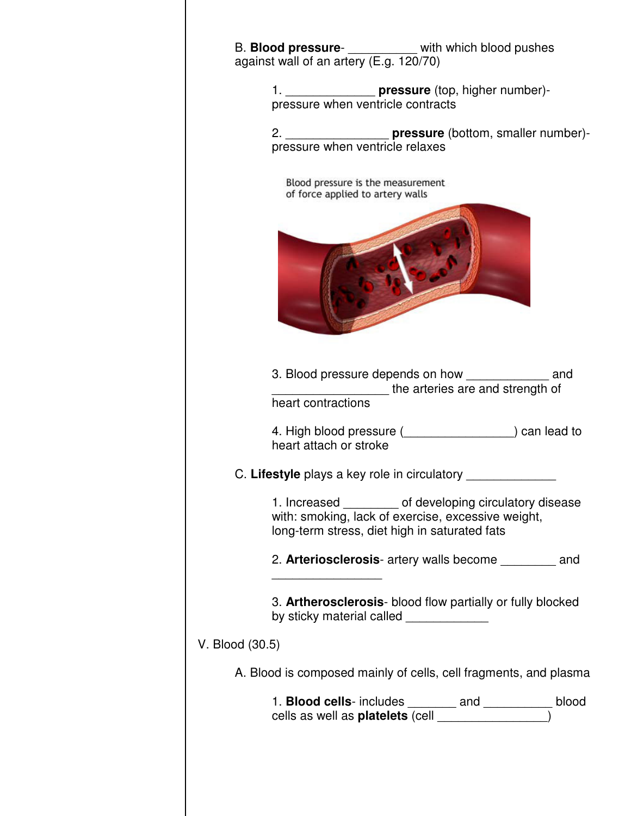| B. Blood pressure- _________ with which blood pushes                                                                                                            |  |  |  |  |
|-----------------------------------------------------------------------------------------------------------------------------------------------------------------|--|--|--|--|
| against wall of an artery (E.g. 120/70)                                                                                                                         |  |  |  |  |
| 1. ___________________ pressure (top, higher number)-<br>pressure when ventricle contracts                                                                      |  |  |  |  |
| 2. _____________________ pressure (bottom, smaller number)-<br>pressure when ventricle relaxes                                                                  |  |  |  |  |
| Blood pressure is the measurement<br>of force applied to artery walls                                                                                           |  |  |  |  |
|                                                                                                                                                                 |  |  |  |  |
| 3. Blood pressure depends on how and<br>the arteries are and strength of<br>heart contractions                                                                  |  |  |  |  |
| 4. High blood pressure ( <b>Latin 2018</b> Can lead to<br>heart attach or stroke                                                                                |  |  |  |  |
| C. Lifestyle plays a key role in circulatory __________                                                                                                         |  |  |  |  |
| 1. Increased _________ of developing circulatory disease<br>with: smoking, lack of exercise, excessive weight,<br>long-term stress, diet high in saturated fats |  |  |  |  |
| 2. Arteriosclerosis- artery walls become and                                                                                                                    |  |  |  |  |
| 3. Artherosclerosis- blood flow partially or fully blocked<br>by sticky material called _____________                                                           |  |  |  |  |
| V. Blood (30.5)                                                                                                                                                 |  |  |  |  |
| A. Blood is composed mainly of cells, cell fragments, and plasma                                                                                                |  |  |  |  |
| 1. <b>Blood cells</b> -includes _______ and __________ blood cells as well as <b>platelets</b> (cell _______________)                                           |  |  |  |  |
|                                                                                                                                                                 |  |  |  |  |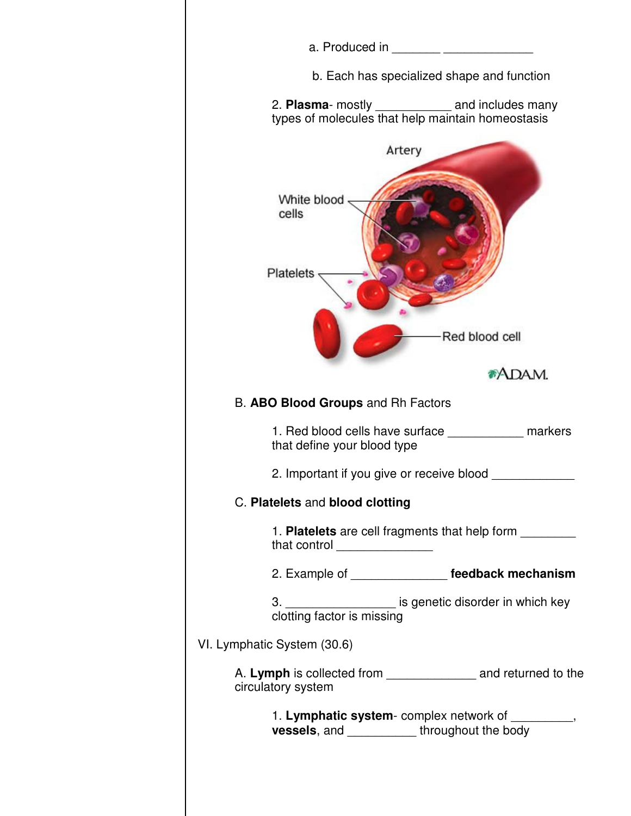